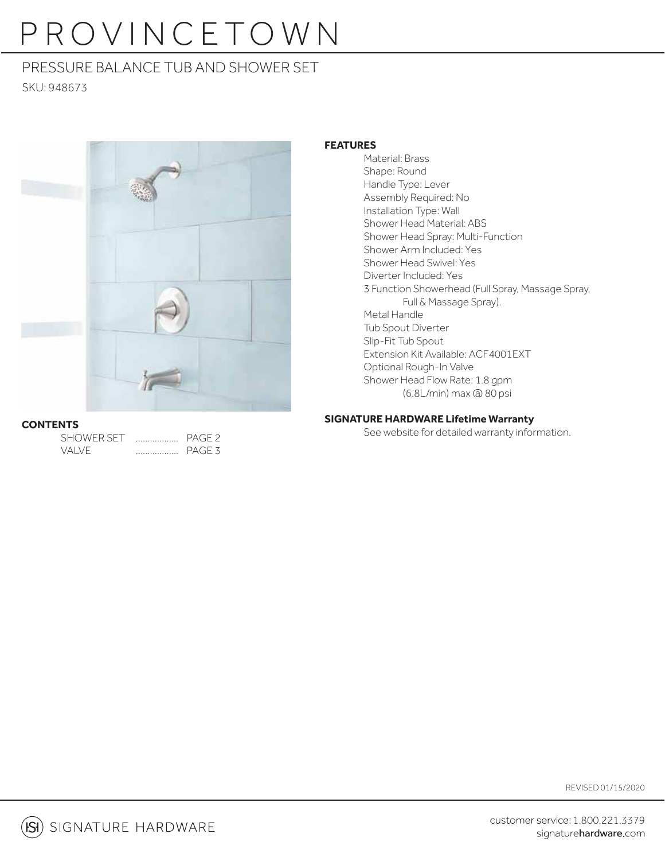# PROVINCETOWN

# PRESSURE BALANCE TUB AND SHOWER SET

SKU: 948673



### **CONTENTS**

| <b>SHOWER SET</b> | PAGE <sub>2</sub> |
|-------------------|-------------------|
| VAI VE            | PAGE 3            |

### **FEATURES**

 Material: Brass Shape: Round Handle Type: Lever Assembly Required: No Installation Type: Wall Shower Head Material: ABS Shower Head Spray: Multi-Function Shower Arm Included: Yes Shower Head Swivel: Yes Diverter Included: Yes 3 Function Showerhead (Full Spray, Massage Spray, Full & Massage Spray). Metal Handle Tub Spout Diverter Slip-Fit Tub Spout Extension Kit Available: ACF4001EXT Optional Rough-In Valve Shower Head Flow Rate: 1.8 gpm (6.8L/min) max @ 80 psi

### **SIGNATURE HARDWARE Lifetime Warranty**

See website for detailed warranty information.

REVISED 01/15/2020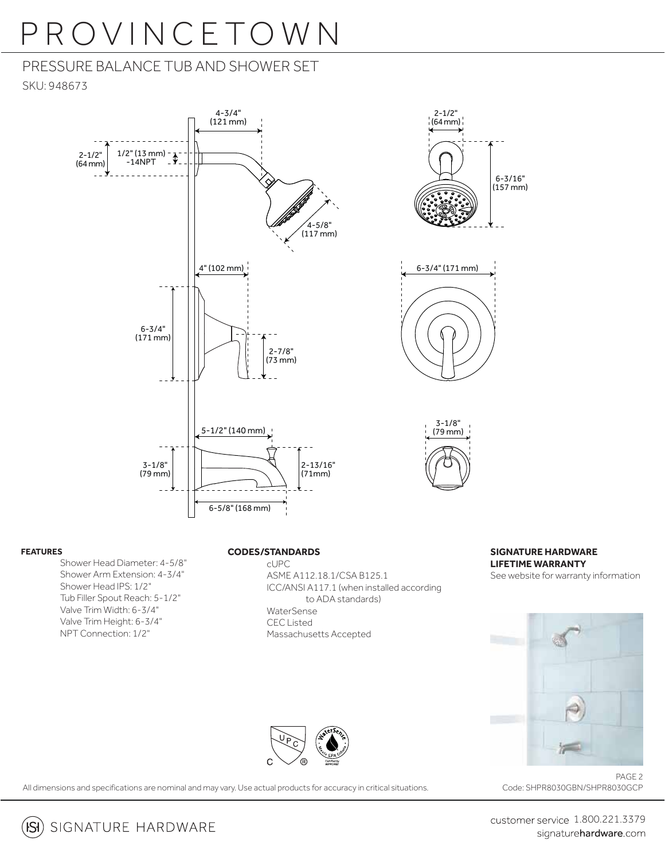# PROVINCETOWN

# PRESSURE BALANCE TUB AND SHOWER SET SKU: 948673



#### **FEATURES**

Shower Head Diameter: 4-5/8" Shower Arm Extension: 4-3/4" Shower Head IPS: 1/2" Tub Filler Spout Reach: 5-1/2" Valve Trim Width: 6-3/4" Valve Trim Height: 6-3/4" NPT Connection: 1/2"

#### **CODES/STANDARDS**

 cUPC ASME A112.18.1/CSA B125.1 ICC/ANSI A117.1 (when installed according to ADA standards) WaterSense CEC Listed Massachusetts Accepted



6-3/16" (157 mm)





All dimensions and specifications are nominal and may vary. Use actual products for accuracy in critical situations.

PAGE 2 Code: SHPR8030GBN/SHPR8030GCP